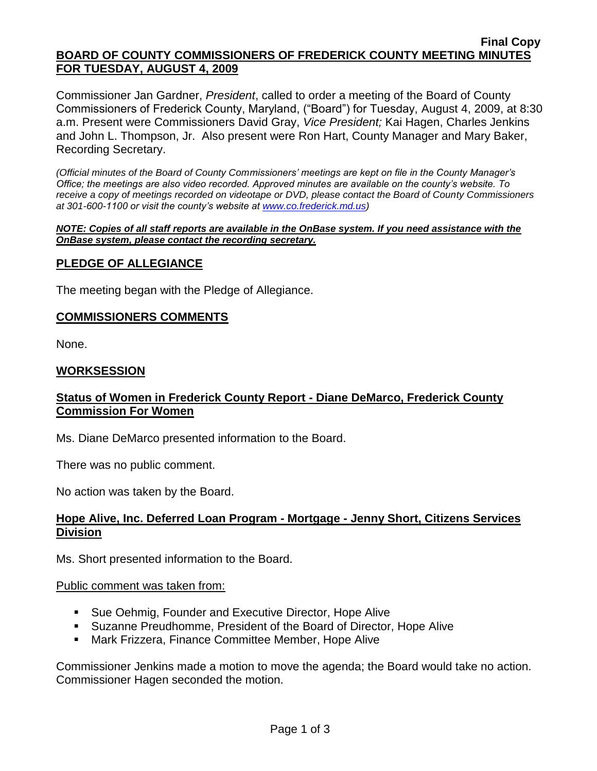#### **Final Copy BOARD OF COUNTY COMMISSIONERS OF FREDERICK COUNTY MEETING MINUTES FOR TUESDAY, AUGUST 4, 2009**

Commissioner Jan Gardner, *President*, called to order a meeting of the Board of County Commissioners of Frederick County, Maryland, ("Board") for Tuesday, August 4, 2009, at 8:30 a.m. Present were Commissioners David Gray, *Vice President;* Kai Hagen, Charles Jenkins and John L. Thompson, Jr. Also present were Ron Hart, County Manager and Mary Baker, Recording Secretary.

*(Official minutes of the Board of County Commissioners' meetings are kept on file in the County Manager's Office; the meetings are also video recorded. Approved minutes are available on the county's website. To receive a copy of meetings recorded on videotape or DVD, please contact the Board of County Commissioners at 301-600-1100 or visit the county's website at [www.co.frederick.md.us\)](http://www.co.frederick.md.us/)*

#### *NOTE: Copies of all staff reports are available in the OnBase system. If you need assistance with the OnBase system, please contact the recording secretary.*

# **PLEDGE OF ALLEGIANCE**

The meeting began with the Pledge of Allegiance.

## **COMMISSIONERS COMMENTS**

None.

## **WORKSESSION**

## **Status of Women in Frederick County Report - Diane DeMarco, Frederick County Commission For Women**

Ms. Diane DeMarco presented information to the Board.

There was no public comment.

No action was taken by the Board.

## **Hope Alive, Inc. Deferred Loan Program - Mortgage - Jenny Short, Citizens Services Division**

Ms. Short presented information to the Board.

#### Public comment was taken from:

- Sue Oehmig, Founder and Executive Director, Hope Alive
- Suzanne Preudhomme, President of the Board of Director, Hope Alive
- Mark Frizzera, Finance Committee Member, Hope Alive

Commissioner Jenkins made a motion to move the agenda; the Board would take no action. Commissioner Hagen seconded the motion.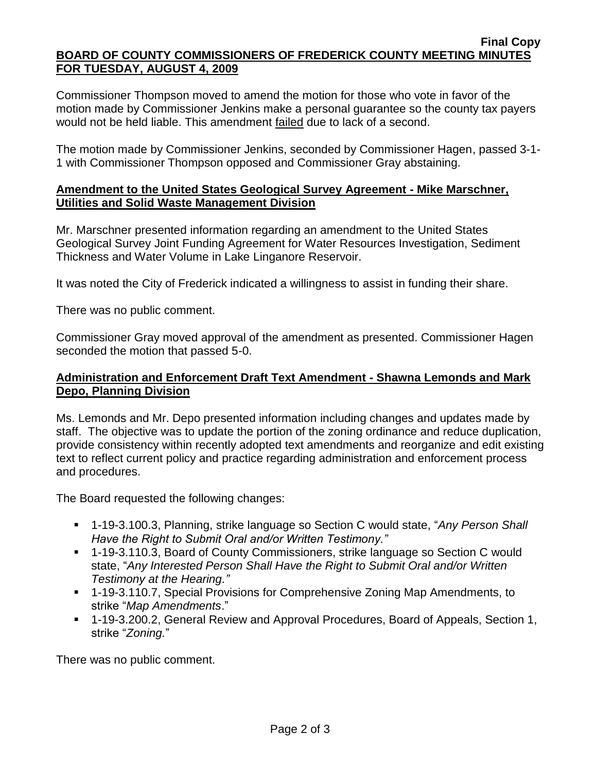#### **Final Copy BOARD OF COUNTY COMMISSIONERS OF FREDERICK COUNTY MEETING MINUTES FOR TUESDAY, AUGUST 4, 2009**

Commissioner Thompson moved to amend the motion for those who vote in favor of the motion made by Commissioner Jenkins make a personal guarantee so the county tax payers would not be held liable. This amendment failed due to lack of a second.

The motion made by Commissioner Jenkins, seconded by Commissioner Hagen, passed 3-1- 1 with Commissioner Thompson opposed and Commissioner Gray abstaining.

## **Amendment to the United States Geological Survey Agreement - Mike Marschner, Utilities and Solid Waste Management Division**

Mr. Marschner presented information regarding an amendment to the United States Geological Survey Joint Funding Agreement for Water Resources Investigation, Sediment Thickness and Water Volume in Lake Linganore Reservoir.

It was noted the City of Frederick indicated a willingness to assist in funding their share.

There was no public comment.

Commissioner Gray moved approval of the amendment as presented. Commissioner Hagen seconded the motion that passed 5-0.

## **Administration and Enforcement Draft Text Amendment - Shawna Lemonds and Mark Depo, Planning Division**

Ms. Lemonds and Mr. Depo presented information including changes and updates made by staff. The objective was to update the portion of the zoning ordinance and reduce duplication, provide consistency within recently adopted text amendments and reorganize and edit existing text to reflect current policy and practice regarding administration and enforcement process and procedures.

The Board requested the following changes:

- 1-19-3.100.3, Planning, strike language so Section C would state, "Any Person Shall *Have the Right to Submit Oral and/or Written Testimony."*
- 1-19-3.110.3, Board of County Commissioners, strike language so Section C would state, "*Any Interested Person Shall Have the Right to Submit Oral and/or Written Testimony at the Hearing."*
- 1-19-3.110.7, Special Provisions for Comprehensive Zoning Map Amendments, to strike "*Map Amendments*."
- 1-19-3.200.2, General Review and Approval Procedures, Board of Appeals, Section 1, strike "*Zoning.*"

There was no public comment.